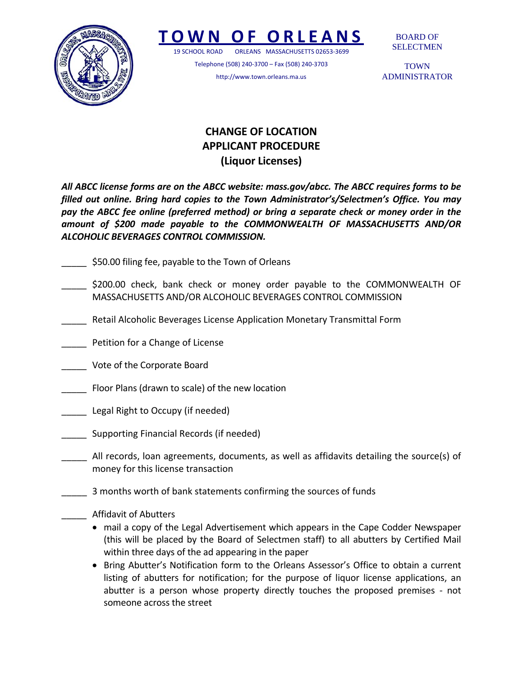

## **TOWN O F ORLEANS**

19 SCHOOL ROAD ORLEANS MASSACHUSETTS 02653‐3699

Telephone (508) 240‐3700 – Fax (508) 240‐3703 http://www.town.orleans.ma.us

BOARD OF SELECTMEN

**TOWN** ADMINISTRATOR

## **CHANGE OF LOCATION APPLICANT PROCEDURE (Liquor Licenses)**

*All ABCC license forms are on the ABCC website: mass.gov/abcc. The ABCC requires forms to be filled out online. Bring hard copies to the Town Administrator's/Selectmen's Office. You may pay the ABCC fee online (preferred method) or bring a separate check or money order in the amount of \$200 made payable to the COMMONWEALTH OF MASSACHUSETTS AND/OR ALCOHOLIC BEVERAGES CONTROL COMMISSION.*

- \$50.00 filing fee, payable to the Town of Orleans
- \$200.00 check, bank check or money order payable to the COMMONWEALTH OF MASSACHUSETTS AND/OR ALCOHOLIC BEVERAGES CONTROL COMMISSION
- \_\_\_\_\_ Retail Alcoholic Beverages License Application Monetary Transmittal Form
- \_\_\_\_\_ Petition for a Change of License
- \_\_\_\_\_ Vote of the Corporate Board
- Floor Plans (drawn to scale) of the new location
- \_\_\_\_\_ Legal Right to Occupy (if needed)
- \_\_\_\_\_ Supporting Financial Records (if needed)
- \_\_\_\_\_ All records, loan agreements, documents, as well as affidavits detailing the source(s) of money for this license transaction
- \_\_\_\_\_ 3 months worth of bank statements confirming the sources of funds
	- \_\_\_\_\_ Affidavit of Abutters
		- mail a copy of the Legal Advertisement which appears in the Cape Codder Newspaper (this will be placed by the Board of Selectmen staff) to all abutters by Certified Mail within three days of the ad appearing in the paper
		- Bring Abutter's Notification form to the Orleans Assessor's Office to obtain a current listing of abutters for notification; for the purpose of liquor license applications, an abutter is a person whose property directly touches the proposed premises ‐ not someone across the street